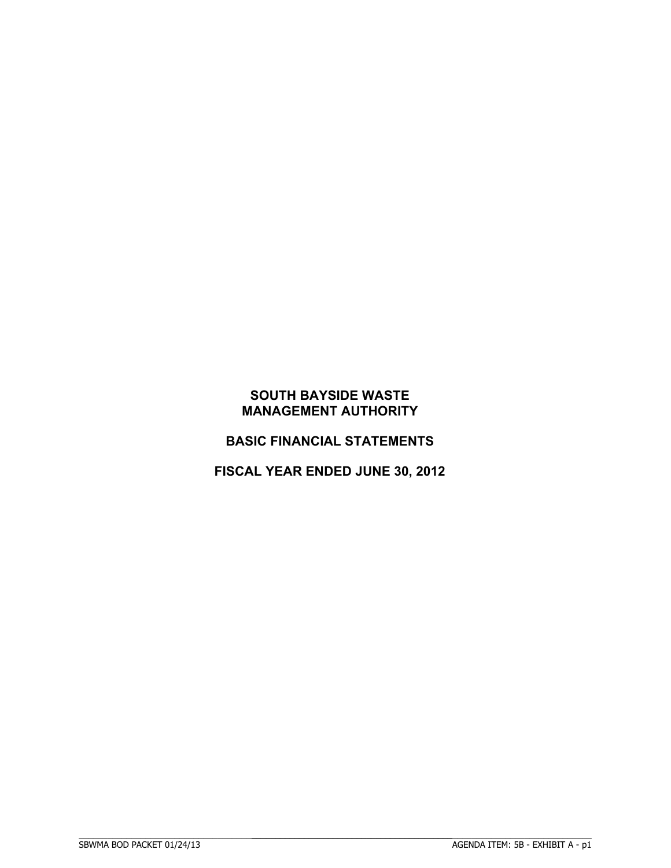# **BASIC FINANCIAL STATEMENTS**

# **FISCAL YEAR ENDED JUNE 30, 2012**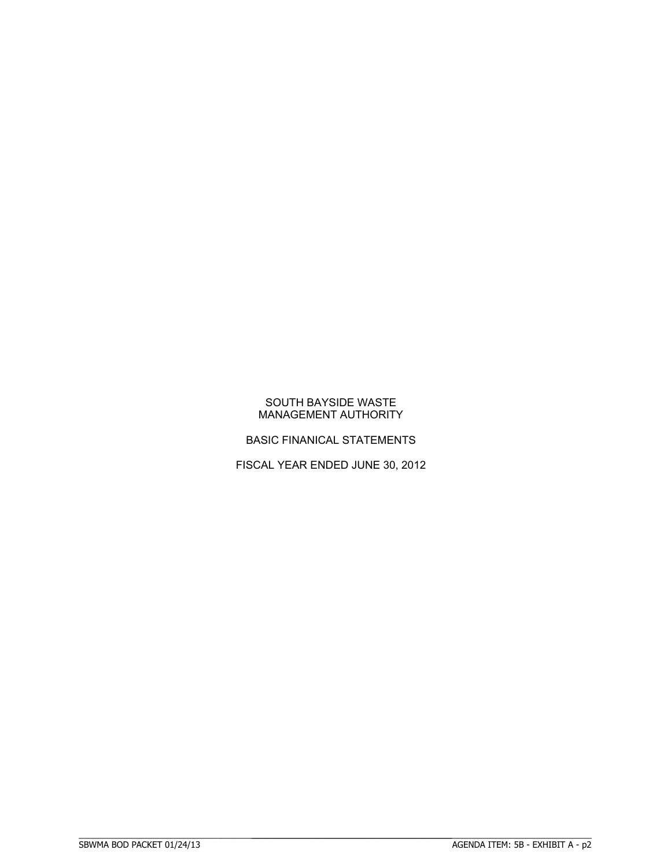BASIC FINANICAL STATEMENTS

FISCAL YEAR ENDED JUNE 30, 2012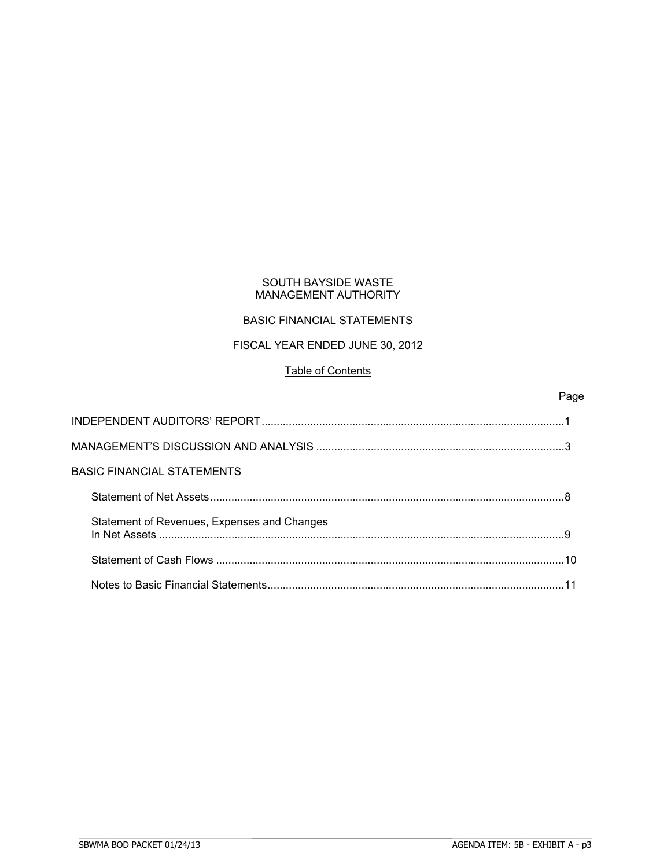# BASIC FINANCIAL STATEMENTS

# FISCAL YEAR ENDED JUNE 30, 2012

## Table of Contents

## Page

| BASIC FINANCIAL STATEMENTS                  |    |
|---------------------------------------------|----|
|                                             |    |
| Statement of Revenues, Expenses and Changes |    |
|                                             | 10 |
|                                             |    |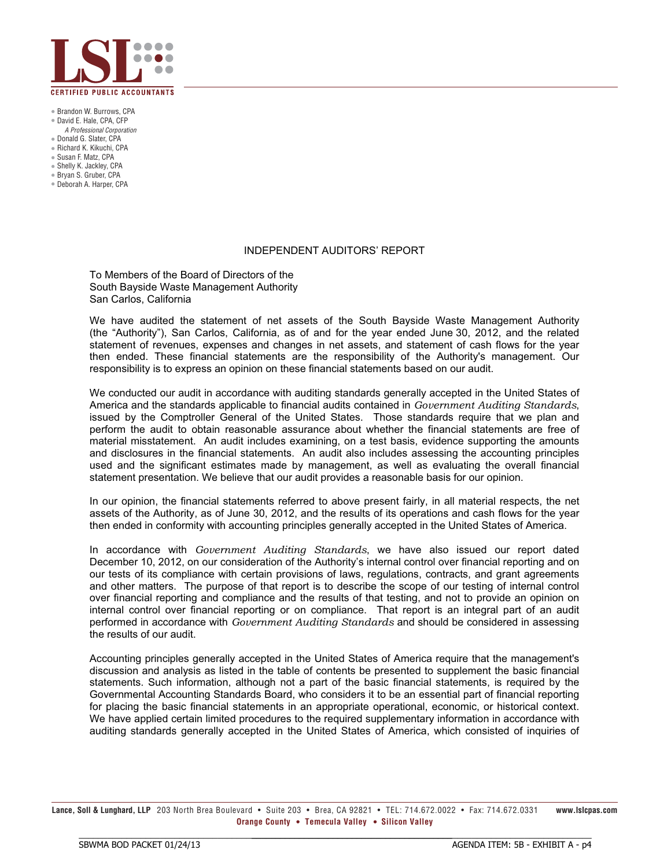

 $\bullet$  Brandon W. Burrows, CPA  $\bullet$  David E. Hale, CPA, CFP

- A Professional Corporation
- Donald G. Slater, CPA
- Richard K. Kikuchi, CPA
- Susan F. Matz, CPA
- Shelly K. Jackley, CPA
- Bryan S. Gruber, CPA
- $\bullet$  Deborah A. Harper, CPA

#### INDEPENDENT AUDITORS' REPORT

To Members of the Board of Directors of the South Bayside Waste Management Authority San Carlos, California

We have audited the statement of net assets of the South Bayside Waste Management Authority (the "Authority"), San Carlos, California, as of and for the year ended June 30, 2012, and the related statement of revenues, expenses and changes in net assets, and statement of cash flows for the year then ended. These financial statements are the responsibility of the Authority's management. Our responsibility is to express an opinion on these financial statements based on our audit.

We conducted our audit in accordance with auditing standards generally accepted in the United States of America and the standards applicable to financial audits contained in *Government Auditing Standards*, issued by the Comptroller General of the United States. Those standards require that we plan and perform the audit to obtain reasonable assurance about whether the financial statements are free of material misstatement. An audit includes examining, on a test basis, evidence supporting the amounts and disclosures in the financial statements. An audit also includes assessing the accounting principles used and the significant estimates made by management, as well as evaluating the overall financial statement presentation. We believe that our audit provides a reasonable basis for our opinion.

In our opinion, the financial statements referred to above present fairly, in all material respects, the net assets of the Authority, as of June 30, 2012, and the results of its operations and cash flows for the year then ended in conformity with accounting principles generally accepted in the United States of America.

In accordance with *Government Auditing Standards*, we have also issued our report dated December 10, 2012, on our consideration of the Authority's internal control over financial reporting and on our tests of its compliance with certain provisions of laws, regulations, contracts, and grant agreements and other matters. The purpose of that report is to describe the scope of our testing of internal control over financial reporting and compliance and the results of that testing, and not to provide an opinion on internal control over financial reporting or on compliance. That report is an integral part of an audit performed in accordance with *Government Auditing Standards* and should be considered in assessing the results of our audit.

Accounting principles generally accepted in the United States of America require that the management's discussion and analysis as listed in the table of contents be presented to supplement the basic financial statements. Such information, although not a part of the basic financial statements, is required by the Governmental Accounting Standards Board, who considers it to be an essential part of financial reporting for placing the basic financial statements in an appropriate operational, economic, or historical context. We have applied certain limited procedures to the required supplementary information in accordance with auditing standards generally accepted in the United States of America, which consisted of inquiries of

Lance, Soll & Lunghard, LLP 203 North Brea Boulevard • Suite 203 • Brea. CA 92821 • TEL: 714.672.0022 • Fax: 714.672.0331 www.lslcpas.com **Orange County • Temecula Valley • Silicon Valley** 

BBBBBBBBBBBBBBBBBBBBBBBBBBBBBBBBBBBBBBBBBBBBBBBBBBBBBBBBBBBBBBBBBBBBBBB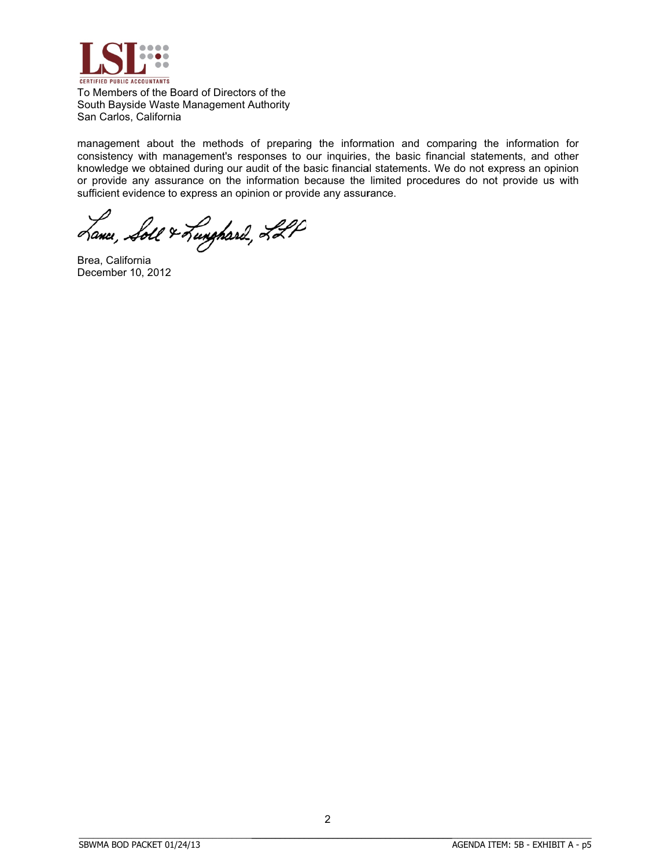

To Members of the Board of Directors of the South Bayside Waste Management Authority San Carlos, California

management about the methods of preparing the information and comparing the information for consistency with management's responses to our inquiries, the basic financial statements, and other knowledge we obtained during our audit of the basic financial statements. We do not express an opinion or provide any assurance on the information because the limited procedures do not provide us with sufficient evidence to express an opinion or provide any assurance.

Lance, Soll & Lunghard, LLP

Brea, Cal ifornia December 10, 2012

BBBBBBBBBBBBBBBBBBBBBBBBBBBBBBBBBBBBBBBBBBBBBBBBBBBBBBBBBBBBBBBBBBBBBBB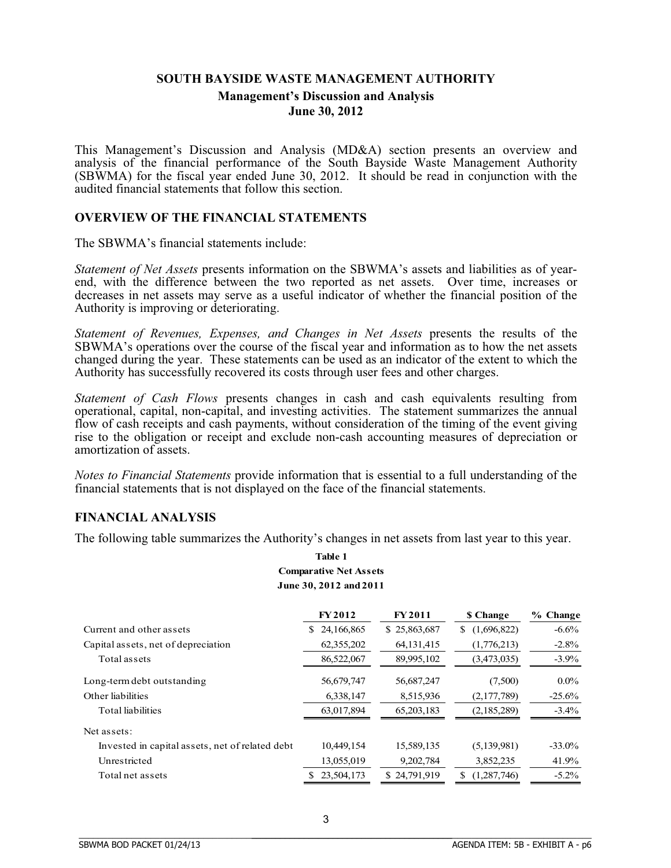# **SOUTH BAYSIDE WASTE MANAGEMENT AUTHORITY Management's Discussion and Analysis June 30, 2012**

This Management's Discussion and Analysis (MD&A) section presents an overview and analysis of the financial performance of the South Bayside Waste Management Authority (SBWMA) for the fiscal year ended June 30, 2012. It should be read in conjunction with the audited financial statements that follow this section.

## **OVERVIEW OF THE FINANCIAL STATEMENTS**

The SBWMA's financial statements include:

*Statement of Net Assets* presents information on the SBWMA's assets and liabilities as of yearend, with the difference between the two reported as net assets. Over time, increases or decreases in net assets may serve as a useful indicator of whether the financial position of the Authority is improving or deteriorating.

*Statement of Revenues, Expenses, and Changes in Net Assets* presents the results of the SBWMA's operations over the course of the fiscal year and information as to how the net assets changed during the year. These statements can be used as an indicator of the extent to which the Authority has successfully recovered its costs through user fees and other charges.

*Statement of Cash Flows* presents changes in cash and cash equivalents resulting from operational, capital, non-capital, and investing activities. The statement summarizes the annual flow of cash receipts and cash payments, without consideration of the timing of the event giving rise to the obligation or receipt and exclude non-cash accounting measures of depreciation or amortization of assets.

*Notes to Financial Statements* provide information that is essential to a full understanding of the financial statements that is not displayed on the face of the financial statements.

## **FINANCIAL ANALYSIS**

The following table summarizes the Authority's changes in net assets from last year to this year.

## **Table 1 Comparative Net Assets June 30, 2012 and 2011**

|                                                 | <b>FY2012</b>    | <b>FY2011</b> | \$ Change          | % Change  |
|-------------------------------------------------|------------------|---------------|--------------------|-----------|
| Current and other assets                        | 24,166,865<br>S. | \$25,863,687  | (1,696,822)<br>S   | $-6.6%$   |
| Capital assets, net of depreciation             | 62,355,202       | 64, 131, 415  | (1,776,213)        | $-2.8\%$  |
| Total assets                                    | 86,522,067       | 89,995,102    | (3,473,035)        | $-3.9\%$  |
| Long-term debt outstanding                      | 56,679,747       | 56,687,247    | (7,500)            | $0.0\%$   |
| Other liabilities                               | 6,338,147        | 8,515,936     | (2,177,789)        | $-25.6%$  |
| Total liabilities                               | 63,017,894       | 65,203,183    | (2,185,289)        | $-3.4\%$  |
| Net assets:                                     |                  |               |                    |           |
| Invested in capital assets, net of related debt | 10,449,154       | 15,589,135    | (5,139,981)        | $-33.0\%$ |
| Unrestricted                                    | 13,055,019       | 9,202,784     | 3,852,235          | 41.9%     |
| Total net assets                                | 23,504,173       | \$24,791,919  | (1, 287, 746)<br>S | $-5.2\%$  |

BBBBBBBBBBBBBBBBBBBBBBBBBBBBBBBBBBBBBBBBBBBBBBBBBBBBBBBBBBBBBBBBBBBBBBBBBBBBBB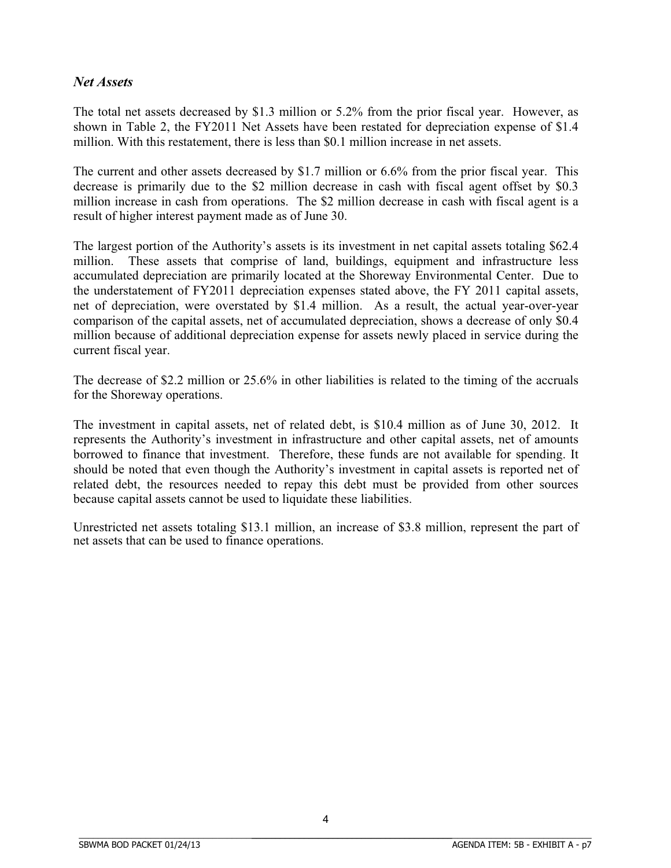# *Net Assets*

The total net assets decreased by \$1.3 million or 5.2% from the prior fiscal year. However, as shown in Table 2, the FY2011 Net Assets have been restated for depreciation expense of \$1.4 million. With this restatement, there is less than \$0.1 million increase in net assets.

The current and other assets decreased by \$1.7 million or 6.6% from the prior fiscal year. This decrease is primarily due to the \$2 million decrease in cash with fiscal agent offset by \$0.3 million increase in cash from operations. The \$2 million decrease in cash with fiscal agent is a result of higher interest payment made as of June 30.

The largest portion of the Authority's assets is its investment in net capital assets totaling \$62.4 million. These assets that comprise of land, buildings, equipment and infrastructure less accumulated depreciation are primarily located at the Shoreway Environmental Center. Due to the understatement of FY2011 depreciation expenses stated above, the FY 2011 capital assets, net of depreciation, were overstated by \$1.4 million. As a result, the actual year-over-year comparison of the capital assets, net of accumulated depreciation, shows a decrease of only \$0.4 million because of additional depreciation expense for assets newly placed in service during the current fiscal year.

The decrease of \$2.2 million or 25.6% in other liabilities is related to the timing of the accruals for the Shoreway operations.

The investment in capital assets, net of related debt, is \$10.4 million as of June 30, 2012. It represents the Authority's investment in infrastructure and other capital assets, net of amounts borrowed to finance that investment. Therefore, these funds are not available for spending. It should be noted that even though the Authority's investment in capital assets is reported net of related debt, the resources needed to repay this debt must be provided from other sources because capital assets cannot be used to liquidate these liabilities.

Unrestricted net assets totaling \$13.1 million, an increase of \$3.8 million, represent the part of net assets that can be used to finance operations.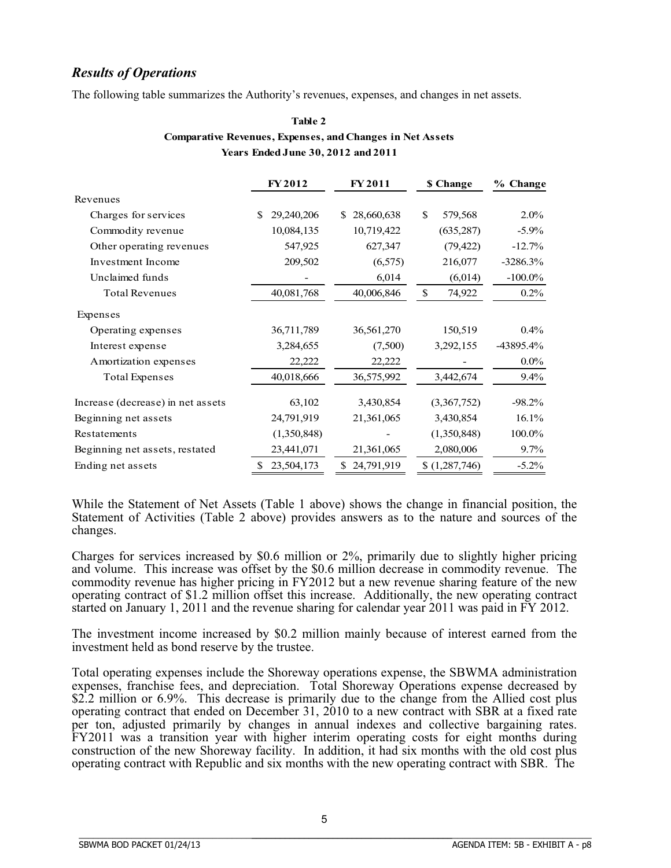# *Results of Operations*

The following table summarizes the Authority's revenues, expenses, and changes in net assets.

| Table 2                                                          |
|------------------------------------------------------------------|
| <b>Comparative Revenues, Expenses, and Changes in Net Assets</b> |
| <b>Years Ended June 30, 2012 and 2011</b>                        |

 $T<sub>1</sub>$   $\sim$ 

|                                   | <b>FY2012</b>     | <b>FY2011</b>    | \$ Change              | % Change   |
|-----------------------------------|-------------------|------------------|------------------------|------------|
| Revenues                          |                   |                  |                        |            |
| Charges for services              | \$.<br>29,240,206 | 28,660,638<br>S. | \$.<br>579,568         | $2.0\%$    |
| Commodity revenue                 | 10,084,135        | 10,719,422       | (635, 287)             | $-5.9\%$   |
| Other operating revenues          | 547,925           | 627,347          | (79, 422)              | $-12.7%$   |
| Investment Income                 | 209,502           | (6, 575)         | 216,077                | $-3286.3%$ |
| Unclaimed funds                   |                   | 6,014            | (6,014)                | $-100.0\%$ |
| <b>Total Revenues</b>             | 40,081,768        | 40,006,846       | $\mathbb{S}$<br>74,922 | $0.2\%$    |
| Expenses                          |                   |                  |                        |            |
| Operating expenses                | 36,711,789        | 36,561,270       | 150,519                | $0.4\%$    |
| Interest expense                  | 3,284,655         | (7,500)          | 3,292,155              | -43895.4%  |
| Amortization expenses             | 22,222            | 22,222           |                        | $0.0\%$    |
| <b>Total Expenses</b>             | 40,018,666        | 36,575,992       | 3,442,674              | $9.4\%$    |
| Increase (decrease) in net assets | 63,102            | 3,430,854        | (3,367,752)            | $-98.2%$   |
| Beginning net assets              | 24,791,919        | 21,361,065       | 3,430,854              | 16.1%      |
| Restatements                      | (1,350,848)       |                  | (1,350,848)            | 100.0%     |
| Beginning net assets, restated    | 23,441,071        | 21,361,065       | 2,080,006              | $9.7\%$    |
| Ending net assets                 | 23,504,173<br>S   | 24,791,919       | \$(1,287,746)          | $-5.2\%$   |

While the Statement of Net Assets (Table 1 above) shows the change in financial position, the Statement of Activities (Table 2 above) provides answers as to the nature and sources of the changes.

Charges for services increased by \$0.6 million or 2%, primarily due to slightly higher pricing and volume. This increase was offset by the \$0.6 million decrease in commodity revenue. The commodity revenue has higher pricing in FY2012 but a new revenue sharing feature of the new operating contract of \$1.2 million offset this increase. Additionally, the new operating contract started on January 1, 2011 and the revenue sharing for calendar year 2011 was paid in FY 2012.

The investment income increased by \$0.2 million mainly because of interest earned from the investment held as bond reserve by the trustee.

Total operating expenses include the Shoreway operations expense, the SBWMA administration expenses, franchise fees, and depreciation. Total Shoreway Operations expense decreased by \$2.2 million or 6.9%. This decrease is primarily due to the change from the Allied cost plus operating contract that ended on December 31, 2010 to a new contract with SBR at a fixed rate per ton, adjusted primarily by changes in annual indexes and collective bargaining rates. FY2011 was a transition year with higher interim operating costs for eight months during construction of the new Shoreway facility. In addition, it had six months with the old cost plus operating contract with Republic and six months with the new operating contract with SBR. The

BBBBBBBBBBBBBBBBBBBBBBBBBBBBBBBBBBBBBBBBBBBBBBBBBBBBBBBBBBBBBBBBBBBBBBB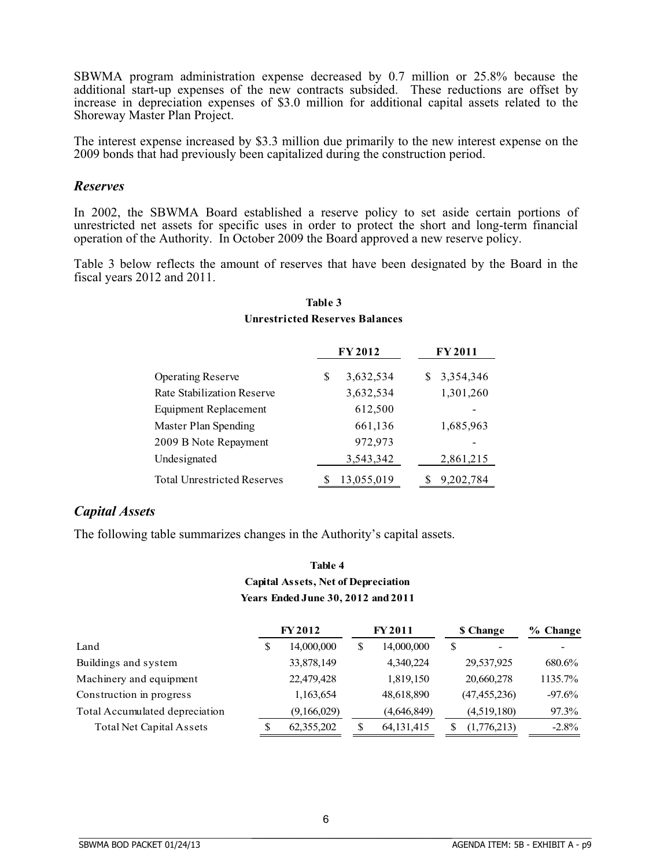SBWMA program administration expense decreased by 0.7 million or 25.8% because the additional start-up expenses of the new contracts subsided. These reductions are offset by increase in depreciation expenses of \$3.0 million for additional capital assets related to the Shoreway Master Plan Project.

The interest expense increased by \$3.3 million due primarily to the new interest expense on the 2009 bonds that had previously been capitalized during the construction period.

## *Reserves*

In 2002, the SBWMA Board established a reserve policy to set aside certain portions of unrestricted net assets for specific uses in order to protect the short and long-term financial operation of the Authority. In October 2009 the Board approved a new reserve policy.

Table 3 below reflects the amount of reserves that have been designated by the Board in the fiscal years 2012 and 2011.

|                                    | <b>FY2012</b>   | <b>FY2011</b>  |
|------------------------------------|-----------------|----------------|
| <b>Operating Reserve</b>           | 3,632,534<br>\$ | 3,354,346<br>S |
| Rate Stabilization Reserve         | 3,632,534       | 1,301,260      |
| <b>Equipment Replacement</b>       | 612,500         |                |
| Master Plan Spending               | 661,136         | 1,685,963      |
| 2009 B Note Repayment              | 972,973         |                |
| Undesignated                       | 3,543,342       | 2,861,215      |
| <b>Total Unrestricted Reserves</b> | 13,055,019      | 9,202,784      |

## **Table 3 Unrestricted Reserves Balances**

## *Capital Assets*

The following table summarizes changes in the Authority's capital assets.

# **Years Ended June 30, 2012 and 2011 Capital Assets, Net of Depreciation Table 4**

|                                 |    | <b>FY 2012</b> |    | <b>FY2011</b> | <b>\$</b> Change | $%$ Change |
|---------------------------------|----|----------------|----|---------------|------------------|------------|
| Land                            | \$ | 14,000,000     | \$ | 14,000,000    | \$               |            |
| Buildings and system            |    | 33,878,149     |    | 4.340.224     | 29,537,925       | 680.6%     |
| Machinery and equipment         |    | 22,479,428     |    | 1,819,150     | 20,660,278       | 1135.7%    |
| Construction in progress        |    | 1,163,654      |    | 48,618,890    | (47, 455, 236)   | $-97.6%$   |
| Total Accumulated depreciation  |    | (9,166,029)    |    | (4,646,849)   | (4,519,180)      | 97.3%      |
| <b>Total Net Capital Assets</b> | S  | 62,355,202     | S  | 64, 131, 415  | (1,776,213)      | $-2.8\%$   |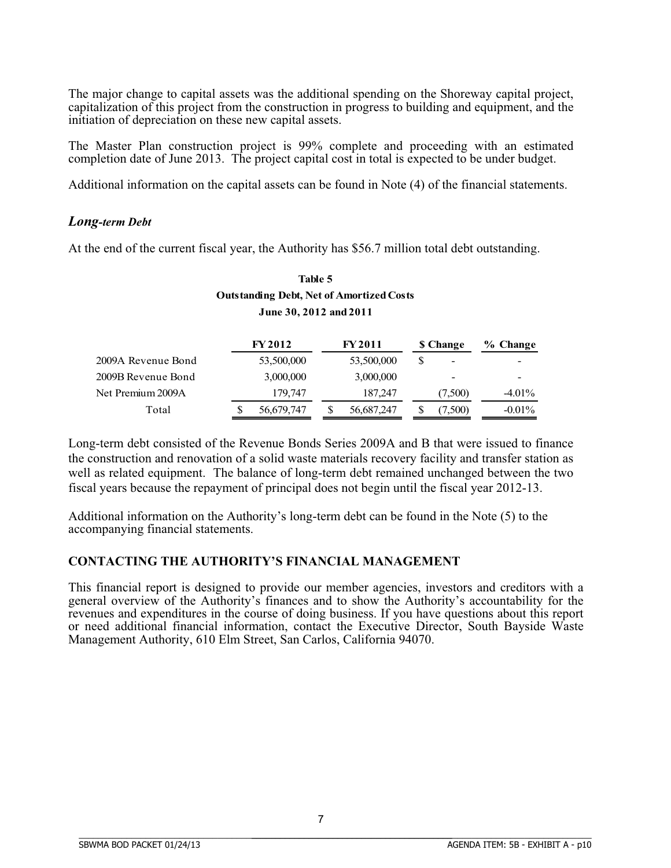The major change to capital assets was the additional spending on the Shoreway capital project, capitalization of this project from the construction in progress to building and equipment, and the initiation of depreciation on these new capital assets.

The Master Plan construction project is 99% complete and proceeding with an estimated completion date of June 2013. The project capital cost in total is expected to be under budget.

Additional information on the capital assets can be found in Note (4) of the financial statements.

## *Long-term Debt*

At the end of the current fiscal year, the Authority has \$56.7 million total debt outstanding.

# **Table 5 Outstanding Debt, Net of Amortized Costs June 30, 2012 and 2011**

|                    |   | <b>FY 2012</b> |  | <b>FY 2011</b> | <b>S</b> Change          | % Change  |
|--------------------|---|----------------|--|----------------|--------------------------|-----------|
| 2009A Revenue Bond |   | 53,500,000     |  | 53,500,000     | $\overline{a}$           |           |
| 2009B Revenue Bond |   | 3,000,000      |  | 3,000,000      | $\overline{\phantom{0}}$ |           |
| Net Premium 2009A  |   | 179,747        |  | 187,247        | (7,500)                  | $-4.01\%$ |
| Total              | S | 56,679,747     |  | 56,687,247     | 7,500)                   | $-0.01\%$ |

Long-term debt consisted of the Revenue Bonds Series 2009A and B that were issued to finance the construction and renovation of a solid waste materials recovery facility and transfer station as well as related equipment. The balance of long-term debt remained unchanged between the two fiscal years because the repayment of principal does not begin until the fiscal year 2012-13.

Additional information on the Authority's long-term debt can be found in the Note (5) to the accompanying financial statements.

## **CONTACTING THE AUTHORITY'S FINANCIAL MANAGEMENT**

This financial report is designed to provide our member agencies, investors and creditors with a general overview of the Authority's finances and to show the Authority's accountability for the revenues and expenditures in the course of doing business. If you have questions about this report or need additional financial information, contact the Executive Director, South Bayside Waste Management Authority, 610 Elm Street, San Carlos, California 94070.

BBBBBBBBBBBBBBBBBBBBBBBBBBBBBBBBBBBBBBBBBBBBBBBBBBBBBBBBBBBBBBBBBBBBBBB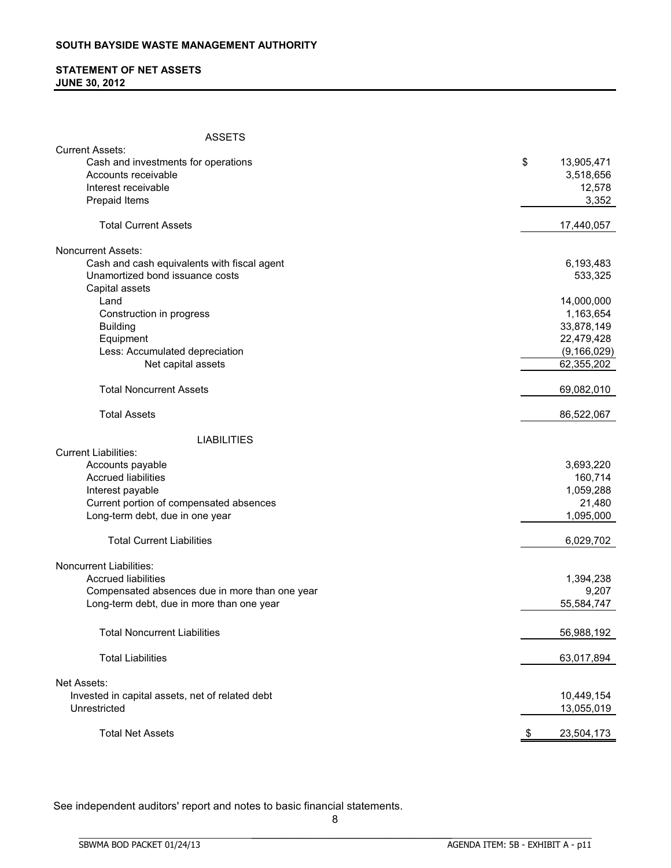## **STATEMENT OF NET ASSETS JUNE 30, 2012**

| <b>ASSETS</b>                                   |      |               |
|-------------------------------------------------|------|---------------|
| <b>Current Assets:</b>                          |      |               |
| Cash and investments for operations             | \$   | 13,905,471    |
| Accounts receivable                             |      | 3,518,656     |
| Interest receivable                             |      | 12,578        |
| Prepaid Items                                   |      | 3,352         |
| <b>Total Current Assets</b>                     |      | 17,440,057    |
| <b>Noncurrent Assets:</b>                       |      |               |
| Cash and cash equivalents with fiscal agent     |      | 6,193,483     |
| Unamortized bond issuance costs                 |      | 533,325       |
| Capital assets                                  |      |               |
| Land                                            |      | 14,000,000    |
| Construction in progress                        |      | 1,163,654     |
| <b>Building</b>                                 |      | 33,878,149    |
| Equipment                                       |      | 22,479,428    |
| Less: Accumulated depreciation                  |      | (9, 166, 029) |
| Net capital assets                              |      | 62,355,202    |
|                                                 |      |               |
| <b>Total Noncurrent Assets</b>                  |      | 69,082,010    |
| <b>Total Assets</b>                             |      | 86,522,067    |
| <b>LIABILITIES</b>                              |      |               |
| <b>Current Liabilities:</b>                     |      |               |
| Accounts payable                                |      | 3,693,220     |
| <b>Accrued liabilities</b>                      |      | 160,714       |
| Interest payable                                |      | 1,059,288     |
| Current portion of compensated absences         |      | 21,480        |
| Long-term debt, due in one year                 |      | 1,095,000     |
| <b>Total Current Liabilities</b>                |      | 6,029,702     |
| <b>Noncurrent Liabilities:</b>                  |      |               |
| <b>Accrued liabilities</b>                      |      | 1,394,238     |
| Compensated absences due in more than one year  |      | 9,207         |
| Long-term debt, due in more than one year       |      | 55,584,747    |
| <b>Total Noncurrent Liabilities</b>             |      | 56,988,192    |
| <b>Total Liabilities</b>                        |      | 63,017,894    |
| Net Assets:                                     |      |               |
|                                                 |      |               |
| Invested in capital assets, net of related debt |      | 10,449,154    |
| Unrestricted                                    |      | 13,055,019    |
| <b>Total Net Assets</b>                         | - \$ | 23,504,173    |

See independent auditors' report and notes to basic financial statements.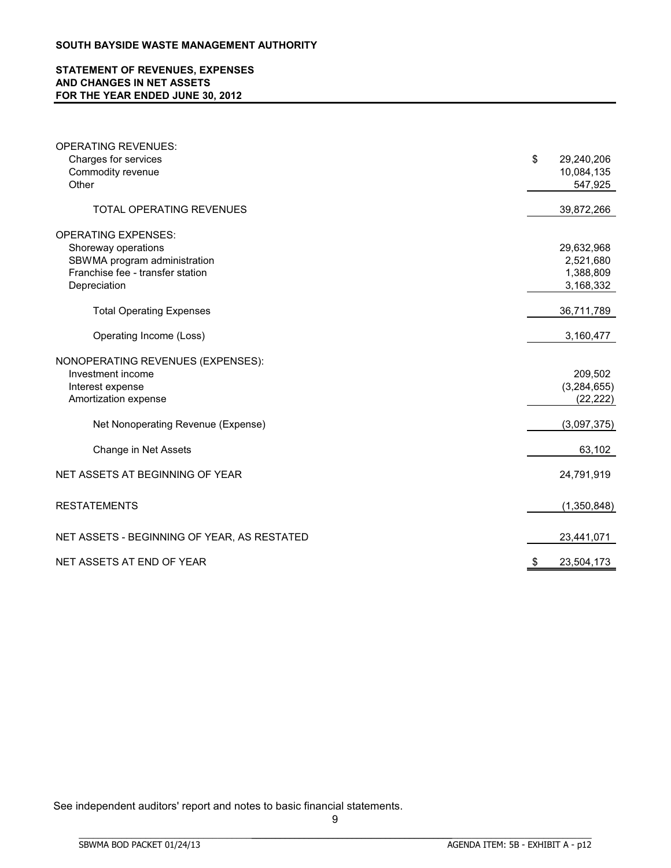## **STATEMENT OF REVENUES, EXPENSES AND CHANGES IN NET ASSETS FOR THE YEAR ENDED JUNE 30, 2012**

| <b>OPERATING REVENUES:</b>                  |                  |
|---------------------------------------------|------------------|
| Charges for services                        | \$<br>29,240,206 |
| Commodity revenue                           | 10,084,135       |
| Other                                       | 547,925          |
|                                             |                  |
| <b>TOTAL OPERATING REVENUES</b>             | 39,872,266       |
| <b>OPERATING EXPENSES:</b>                  |                  |
| Shoreway operations                         | 29,632,968       |
| SBWMA program administration                | 2,521,680        |
| Franchise fee - transfer station            | 1,388,809        |
| Depreciation                                | 3,168,332        |
| <b>Total Operating Expenses</b>             | 36,711,789       |
| Operating Income (Loss)                     | 3,160,477        |
| NONOPERATING REVENUES (EXPENSES):           |                  |
| Investment income                           | 209,502          |
| Interest expense                            | (3,284,655)      |
| Amortization expense                        | (22, 222)        |
| Net Nonoperating Revenue (Expense)          | (3,097,375)      |
| Change in Net Assets                        | 63,102           |
| NET ASSETS AT BEGINNING OF YEAR             | 24,791,919       |
| <b>RESTATEMENTS</b>                         | (1,350,848)      |
| NET ASSETS - BEGINNING OF YEAR, AS RESTATED | 23,441,071       |
| NET ASSETS AT END OF YEAR                   | 23,504,173       |

See independent auditors' report and notes to basic financial statements.

BBBBBBBBBBBBBBBBBBBBBBBBBBBBBBBBBBBBBBBBBBBBBBBBBBBBBBBBBBBBBBBBBBBBBBBBBBBBBB

9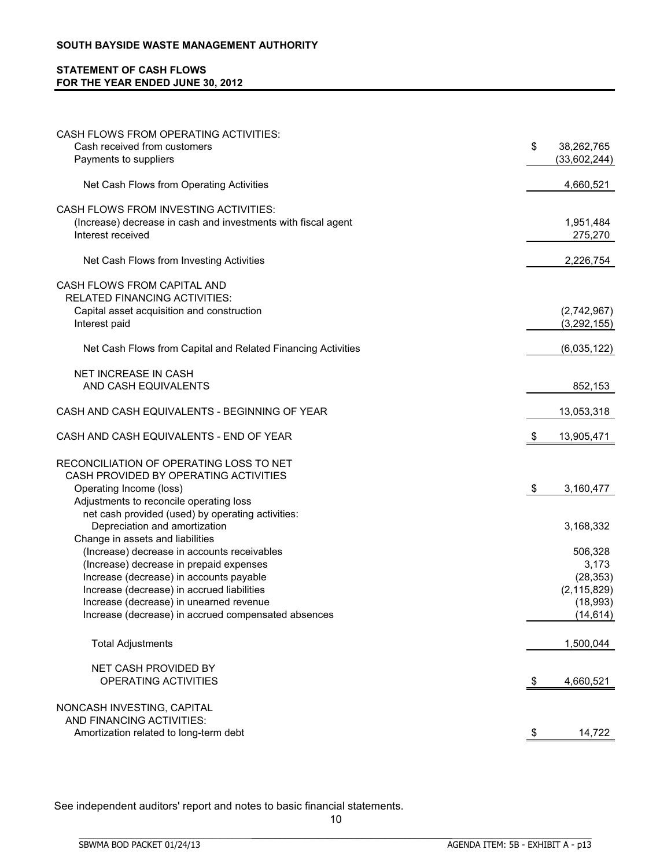## **STATEMENT OF CASH FLOWS FOR THE YEAR ENDED JUNE 30, 2012**

| CASH FLOWS FROM OPERATING ACTIVITIES:<br>Cash received from customers                 | \$<br>38,262,765           |
|---------------------------------------------------------------------------------------|----------------------------|
| Payments to suppliers                                                                 | (33,602,244)               |
| Net Cash Flows from Operating Activities                                              | 4,660,521                  |
| <b>CASH FLOWS FROM INVESTING ACTIVITIES:</b>                                          |                            |
| (Increase) decrease in cash and investments with fiscal agent<br>Interest received    | 1,951,484<br>275,270       |
| Net Cash Flows from Investing Activities                                              | 2,226,754                  |
| CASH FLOWS FROM CAPITAL AND                                                           |                            |
| <b>RELATED FINANCING ACTIVITIES:</b>                                                  |                            |
| Capital asset acquisition and construction                                            | (2,742,967)                |
| Interest paid                                                                         | (3, 292, 155)              |
| Net Cash Flows from Capital and Related Financing Activities                          | (6,035,122)                |
| <b>NET INCREASE IN CASH</b>                                                           |                            |
| AND CASH EQUIVALENTS                                                                  | 852,153                    |
| CASH AND CASH EQUIVALENTS - BEGINNING OF YEAR                                         | 13,053,318                 |
| CASH AND CASH EQUIVALENTS - END OF YEAR                                               | 13,905,471<br>-\$          |
| RECONCILIATION OF OPERATING LOSS TO NET                                               |                            |
| CASH PROVIDED BY OPERATING ACTIVITIES                                                 |                            |
| Operating Income (loss)                                                               | -\$<br>3,160,477           |
| Adjustments to reconcile operating loss                                               |                            |
| net cash provided (used) by operating activities:                                     |                            |
| Depreciation and amortization                                                         | 3,168,332                  |
| Change in assets and liabilities                                                      |                            |
| (Increase) decrease in accounts receivables                                           | 506,328                    |
| (Increase) decrease in prepaid expenses                                               | 3,173                      |
| Increase (decrease) in accounts payable<br>Increase (decrease) in accrued liabilities | (28, 353)<br>(2, 115, 829) |
| Increase (decrease) in unearned revenue                                               | (18,993)                   |
| Increase (decrease) in accrued compensated absences                                   | (14, 614)                  |
|                                                                                       |                            |
| <b>Total Adjustments</b>                                                              | 1,500,044                  |
| NET CASH PROVIDED BY                                                                  |                            |
| OPERATING ACTIVITIES                                                                  | 4,660,521<br>-\$           |
| NONCASH INVESTING, CAPITAL                                                            |                            |
| AND FINANCING ACTIVITIES:                                                             |                            |
| Amortization related to long-term debt                                                | 14,722<br><u>\$</u>        |

See independent auditors' report and notes to basic financial statements.

BBBBBBBBBBBBBBBBBBBBBBBBBBBBBBBBBBBBBBBBBBBBBBBBBBBBBBBBBBBBBBBBBBBBBBBBBBBBBB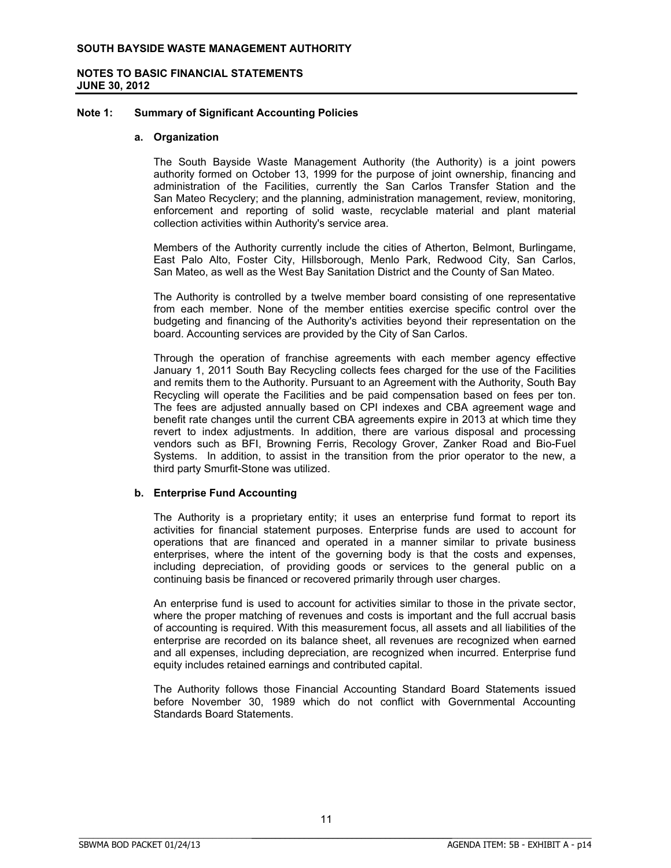## **NOTES TO BASIC FINANCIAL STATEMENTS JUNE 30, 2012**

#### **Note 1: Summary of Significant Accounting Policies**

#### **a. Organization**

The South Bayside Waste Management Authority (the Authority) is a joint powers authority formed on October 13, 1999 for the purpose of joint ownership, financing and administration of the Facilities, currently the San Carlos Transfer Station and the San Mateo Recyclery; and the planning, administration management, review, monitoring, enforcement and reporting of solid waste, recyclable material and plant material collection activities within Authority's service area.

Members of the Authority currently include the cities of Atherton, Belmont, Burlingame, East Palo Alto, Foster City, Hillsborough, Menlo Park, Redwood City, San Carlos, San Mateo, as well as the West Bay Sanitation District and the County of San Mateo.

The Authority is controlled by a twelve member board consisting of one representative from each member. None of the member entities exercise specific control over the budgeting and financing of the Authority's activities beyond their representation on the board. Accounting services are provided by the City of San Carlos.

Through the operation of franchise agreements with each member agency effective January 1, 2011 South Bay Recycling collects fees charged for the use of the Facilities and remits them to the Authority. Pursuant to an Agreement with the Authority, South Bay Recycling will operate the Facilities and be paid compensation based on fees per ton. The fees are adjusted annually based on CPI indexes and CBA agreement wage and benefit rate changes until the current CBA agreements expire in 2013 at which time they revert to index adjustments. In addition, there are various disposal and processing vendors such as BFI, Browning Ferris, Recology Grover, Zanker Road and Bio-Fuel Systems. In addition, to assist in the transition from the prior operator to the new, a third party Smurfit-Stone was utilized.

## **b. Enterprise Fund Accounting**

The Authority is a proprietary entity; it uses an enterprise fund format to report its activities for financial statement purposes. Enterprise funds are used to account for operations that are financed and operated in a manner similar to private business enterprises, where the intent of the governing body is that the costs and expenses, including depreciation, of providing goods or services to the general public on a continuing basis be financed or recovered primarily through user charges.

An enterprise fund is used to account for activities similar to those in the private sector, where the proper matching of revenues and costs is important and the full accrual basis of accounting is required. With this measurement focus, all assets and all liabilities of the enterprise are recorded on its balance sheet, all revenues are recognized when earned and all expenses, including depreciation, are recognized when incurred. Enterprise fund equity includes retained earnings and contributed capital.

The Authority follows those Financial Accounting Standard Board Statements issued before November 30, 1989 which do not conflict with Governmental Accounting Standards Board Statements.

BBBBBBBBBBBBBBBBBBBBBBBBBBBBBBBBBBBBBBBBBBBBBBBBBBBBBBBBBBBBBBBBBBBBBBB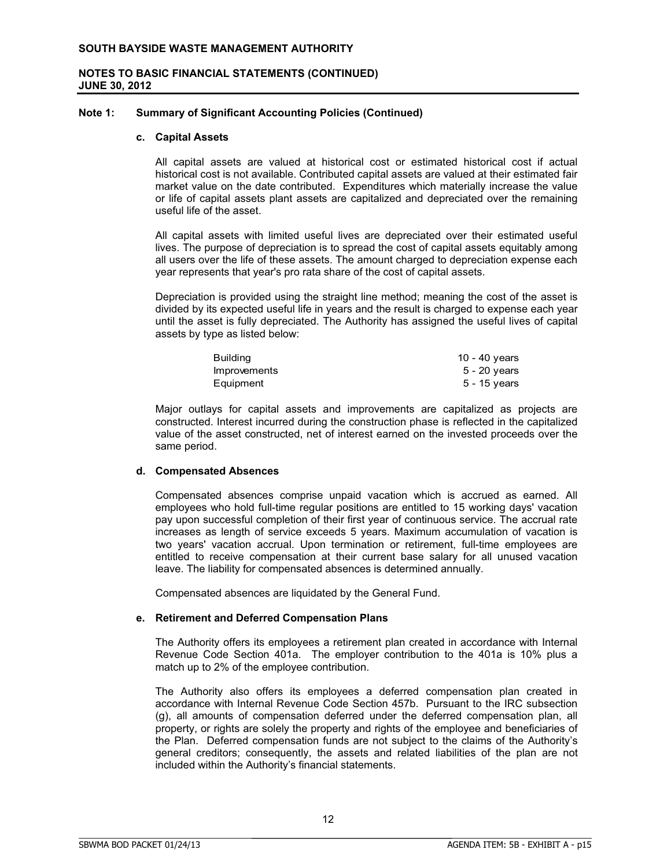### **Note 1: Summary of Significant Accounting Policies (Continued)**

#### **c. Capital Assets**

All capital assets are valued at historical cost or estimated historical cost if actual historical cost is not available. Contributed capital assets are valued at their estimated fair market value on the date contributed. Expenditures which materially increase the value or life of capital assets plant assets are capitalized and depreciated over the remaining useful life of the asset.

All capital assets with limited useful lives are depreciated over their estimated useful lives. The purpose of depreciation is to spread the cost of capital assets equitably among all users over the life of these assets. The amount charged to depreciation expense each year represents that year's pro rata share of the cost of capital assets.

Depreciation is provided using the straight line method; meaning the cost of the asset is divided by its expected useful life in years and the result is charged to expense each year until the asset is fully depreciated. The Authority has assigned the useful lives of capital assets by type as listed below:

| Building     | 10 - 40 years  |
|--------------|----------------|
| Improvements | 5 - 20 years   |
| Equipment    | $5 - 15$ years |

Major outlays for capital assets and improvements are capitalized as projects are constructed. Interest incurred during the construction phase is reflected in the capitalized value of the asset constructed, net of interest earned on the invested proceeds over the same period.

## **d. Compensated Absences**

Compensated absences comprise unpaid vacation which is accrued as earned. All employees who hold full-time regular positions are entitled to 15 working days' vacation pay upon successful completion of their first year of continuous service. The accrual rate increases as length of service exceeds 5 years. Maximum accumulation of vacation is two years' vacation accrual. Upon termination or retirement, full-time employees are entitled to receive compensation at their current base salary for all unused vacation leave. The liability for compensated absences is determined annually.

Compensated absences are liquidated by the General Fund.

## **e. Retirement and Deferred Compensation Plans**

BBBBBBBBBBBBBBBBBBBBBBBBBBBBBBBBBBBBBBBBBBBBBBBBBBBBBBBBBBBBBBBBBBBBBBBBBBBBBB

The Authority offers its employees a retirement plan created in accordance with Internal Revenue Code Section 401a. The employer contribution to the 401a is 10% plus a match up to 2% of the employee contribution.

The Authority also offers its employees a deferred compensation plan created in accordance with Internal Revenue Code Section 457b. Pursuant to the IRC subsection (g), all amounts of compensation deferred under the deferred compensation plan, all property, or rights are solely the property and rights of the employee and beneficiaries of the Plan. Deferred compensation funds are not subject to the claims of the Authority's general creditors; consequently, the assets and related liabilities of the plan are not included within the Authority's financial statements.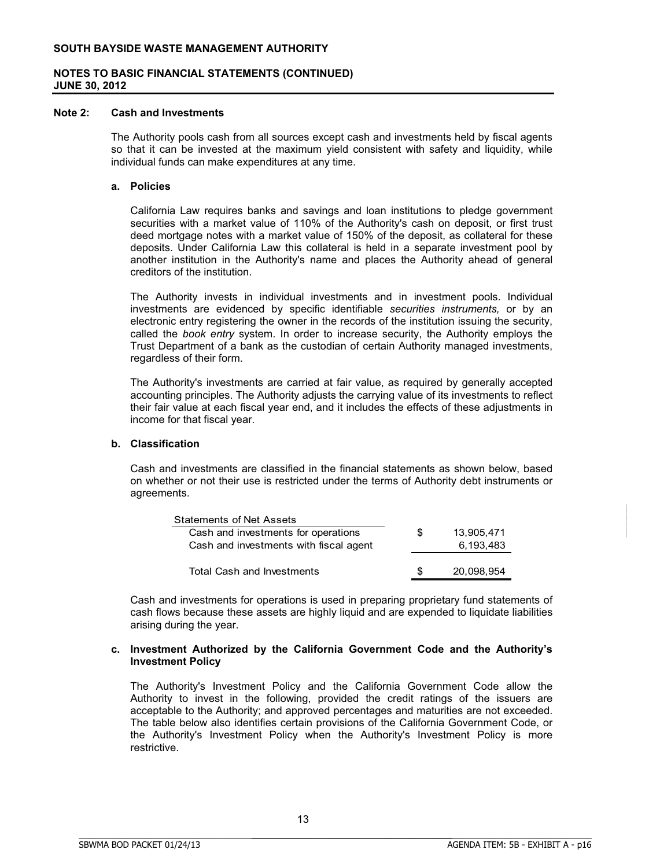## **NOTES TO BASIC FINANCIAL STATEMENTS (CONTINUED) JUNE 30, 2012**

#### **Note 2: Cash and Investments**

The Authority pools cash from all sources except cash and investments held by fiscal agents so that it can be invested at the maximum yield consistent with safety and liquidity, while individual funds can make expenditures at any time.

#### **a. Policies**

California Law requires banks and savings and loan institutions to pledge government securities with a market value of 110% of the Authority's cash on deposit, or first trust deed mortgage notes with a market value of 150% of the deposit, as collateral for these deposits. Under California Law this collateral is held in a separate investment pool by another institution in the Authority's name and places the Authority ahead of general creditors of the institution.

The Authority invests in individual investments and in investment pools. Individual investments are evidenced by specific identifiable *securities instruments,* or by an electronic entry registering the owner in the records of the institution issuing the security, called the *book entry* system. In order to increase security, the Authority employs the Trust Department of a bank as the custodian of certain Authority managed investments, regardless of their form.

The Authority's investments are carried at fair value, as required by generally accepted accounting principles. The Authority adjusts the carrying value of its investments to reflect their fair value at each fiscal year end, and it includes the effects of these adjustments in income for that fiscal year.

#### **b. Classification**

Cash and investments are classified in the financial statements as shown below, based on whether or not their use is restricted under the terms of Authority debt instruments or agreements.

| <b>Statements of Net Assets</b>        |     |            |
|----------------------------------------|-----|------------|
| Cash and investments for operations    | S   | 13.905.471 |
| Cash and investments with fiscal agent |     | 6.193.483  |
|                                        |     |            |
| <b>Total Cash and Investments</b>      | \$. | 20.098.954 |

Cash and investments for operations is used in preparing proprietary fund statements of cash flows because these assets are highly liquid and are expended to liquidate liabilities arising during the year.

#### **c. Investment Authorized by the California Government Code and the Authority's Investment Policy**

The Authority's Investment Policy and the California Government Code allow the Authority to invest in the following, provided the credit ratings of the issuers are acceptable to the Authority; and approved percentages and maturities are not exceeded. The table below also identifies certain provisions of the California Government Code, or the Authority's Investment Policy when the Authority's Investment Policy is more restrictive.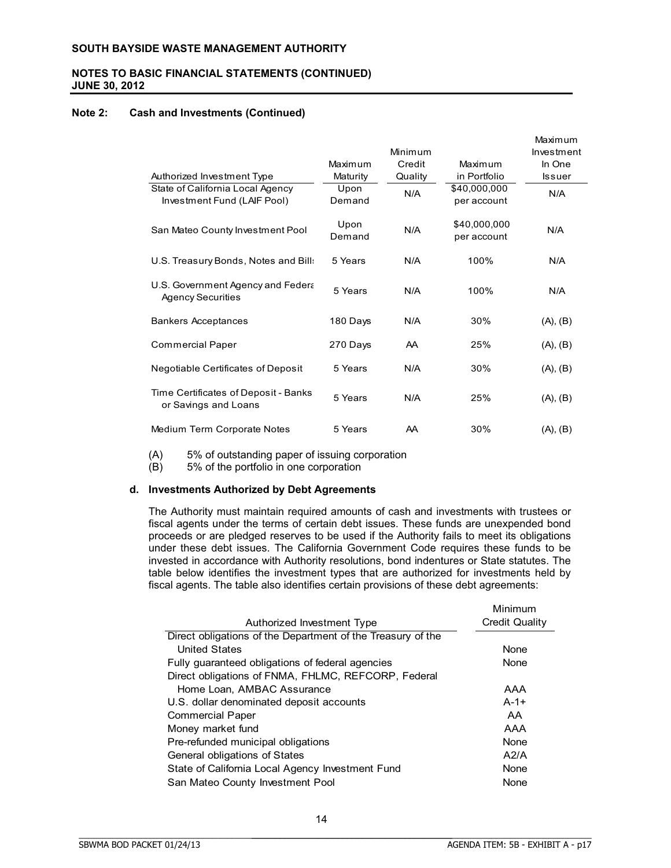## **NOTES TO BASIC FINANCIAL STATEMENTS (CONTINUED) JUNE 30, 2012**

### **Note 2: Cash and Investments (Continued)**

|                                                                 |                |         |                             | Maximum       |
|-----------------------------------------------------------------|----------------|---------|-----------------------------|---------------|
|                                                                 |                | Minimum |                             | Investment    |
|                                                                 | Maximum        | Credit  | Maximum                     | In One        |
| Authorized Investment Type                                      | Maturity       | Quality | in Portfolio                | <b>Issuer</b> |
| State of California Local Agency<br>Investment Fund (LAIF Pool) | Upon<br>Demand | N/A     | \$40,000,000<br>per account | N/A           |
| San Mateo County Investment Pool                                | Upon<br>Demand | N/A     | \$40,000,000<br>per account | N/A           |
| U.S. Treasury Bonds, Notes and Bill:                            | 5 Years        | N/A     | 100%                        | N/A           |
| U.S. Government Agency and Federa<br><b>Agency Securities</b>   | 5 Years        | N/A     | 100%                        | N/A           |
| <b>Bankers Acceptances</b>                                      | 180 Days       | N/A     | 30%                         | (A), (B)      |
| <b>Commercial Paper</b>                                         | 270 Days       | AA      | 25%                         | (A), (B)      |
| Negotiable Certificates of Deposit                              | 5 Years        | N/A     | 30%                         | (A), (B)      |
| Time Certificates of Deposit - Banks<br>or Savings and Loans    | 5 Years        | N/A     | 25%                         | (A), (B)      |
| Medium Term Corporate Notes                                     | 5 Years        | AA      | 30%                         | (A), (B)      |

(A)  $5\%$  of outstanding paper of issuing corporation (B)  $5\%$  of the portfolio in one corporation

5% of the portfolio in one corporation

#### **d. Investments Authorized by Debt Agreements**

The Authority must maintain required amounts of cash and investments with trustees or fiscal agents under the terms of certain debt issues. These funds are unexpended bond proceeds or are pledged reserves to be used if the Authority fails to meet its obligations under these debt issues. The California Government Code requires these funds to be invested in accordance with Authority resolutions, bond indentures or State statutes. The table below identifies the investment types that are authorized for investments held by fiscal agents. The table also identifies certain provisions of these debt agreements:

| Authorized Investment Type                                  | Minimum<br><b>Credit Quality</b> |
|-------------------------------------------------------------|----------------------------------|
| Direct obligations of the Department of the Treasury of the |                                  |
| <b>United States</b>                                        | <b>None</b>                      |
| Fully guaranteed obligations of federal agencies            | None                             |
| Direct obligations of FNMA, FHLMC, REFCORP, Federal         |                                  |
| Home Loan, AMBAC Assurance                                  | AAA                              |
| U.S. dollar denominated deposit accounts                    | $A - 1 +$                        |
| <b>Commercial Paper</b>                                     | AA                               |
| Money market fund                                           | AAA                              |
| Pre-refunded municipal obligations                          | <b>None</b>                      |
| <b>General obligations of States</b>                        | A2/A                             |
| State of California Local Agency Investment Fund            | None                             |
| San Mateo County Investment Pool                            | None                             |

BBBBBBBBBBBBBBBBBBBBBBBBBBBBBBBBBBBBBBBBBBBBBBBBBBBBBBBBBBBBBBBBBBBBBBB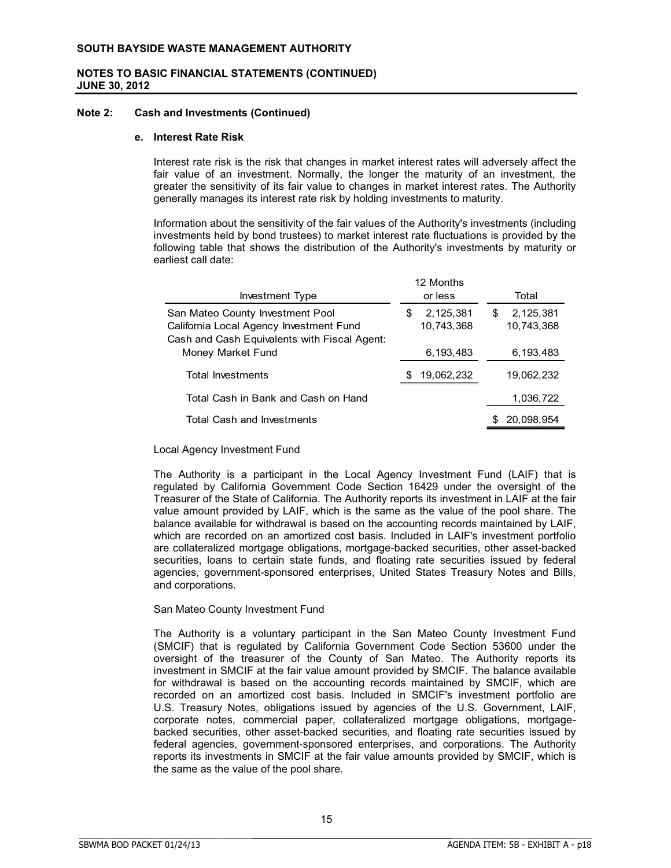### **Note 2: Cash and Investments (Continued)**

#### **e. Interest Rate Risk**

Interest rate risk is the risk that changes in market interest rates will adversely affect the fair value of an investment. Normally, the longer the maturity of an investment, the greater the sensitivity of its fair value to changes in market interest rates. The Authority generally manages its interest rate risk by holding investments to maturity.

Information about the sensitivity of the fair values of the Authority's investments (including investments held by bond trustees) to market interest rate fluctuations is provided by the following table that shows the distribution of the Authority's investments by maturity or earliest call date:

| Investment Type                                                                                                             | 12 Months<br>or less         | Total                        |
|-----------------------------------------------------------------------------------------------------------------------------|------------------------------|------------------------------|
| San Mateo County Investment Pool<br>California Local Agency Investment Fund<br>Cash and Cash Equivalents with Fiscal Agent: | 2,125,381<br>S<br>10,743,368 | 2,125,381<br>S<br>10,743,368 |
| Money Market Fund                                                                                                           | 6,193,483                    | 6,193,483                    |
| <b>Total Investments</b>                                                                                                    | 19,062,232                   | 19,062,232                   |
| Total Cash in Bank and Cash on Hand                                                                                         |                              | 1,036,722                    |
| <b>Total Cash and Investments</b>                                                                                           |                              | 20,098,954                   |

#### Local Agency Investment Fund

The Authority is a participant in the Local Agency Investment Fund (LAIF) that is regulated by California Government Code Section 16429 under the oversight of the Treasurer of the State of California. The Authority reports its investment in LAIF at the fair value amount provided by LAIF, which is the same as the value of the pool share. The balance available for withdrawal is based on the accounting records maintained by LAIF, which are recorded on an amortized cost basis. Included in LAIF's investment portfolio are collateralized mortgage obligations, mortgage-backed securities, other asset-backed securities, loans to certain state funds, and floating rate securities issued by federal agencies, government-sponsored enterprises, United States Treasury Notes and Bills, and corporations.

## San Mateo County Investment Fund

The Authority is a voluntary participant in the San Mateo County Investment Fund (SMCIF) that is regulated by California Government Code Section 53600 under the oversight of the treasurer of the County of San Mateo. The Authority reports its investment in SMCIF at the fair value amount provided by SMCIF. The balance available for withdrawal is based on the accounting records maintained by SMCIF, which are recorded on an amortized cost basis. Included in SMCIF's investment portfolio are U.S. Treasury Notes, obligations issued by agencies of the U.S. Government, LAIF, corporate notes, commercial paper, collateralized mortgage obligations, mortgagebacked securities, other asset-backed securities, and floating rate securities issued by federal agencies, government-sponsored enterprises, and corporations. The Authority reports its investments in SMCIF at the fair value amounts provided by SMCIF, which is the same as the value of the pool share.

BBBBBBBBBBBBBBBBBBBBBBBBBBBBBBBBBBBBBBBBBBBBBBBBBBBBBBBBBBBBBBBBBBBBBBB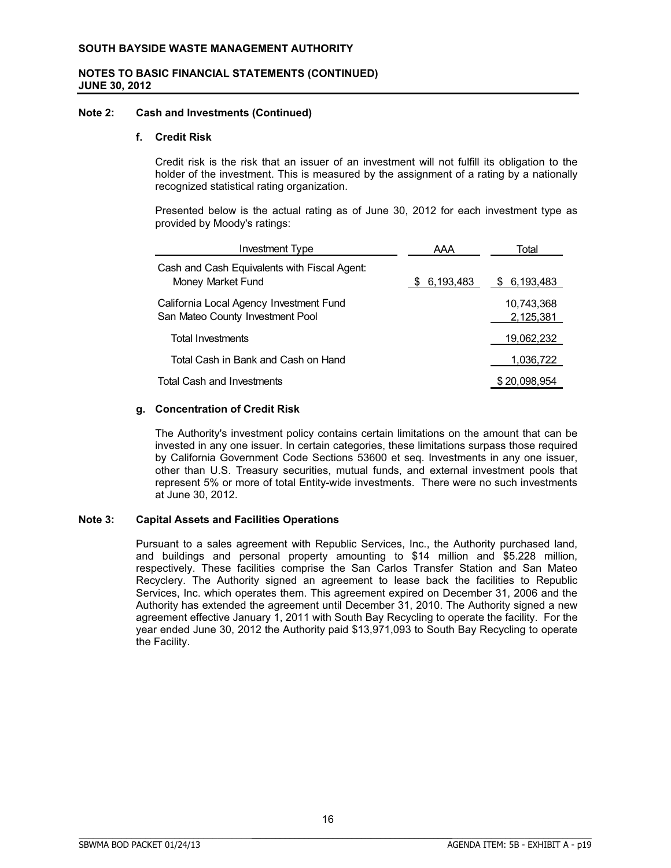#### **Note 2: Cash and Investments (Continued)**

#### **f. Credit Risk**

Credit risk is the risk that an issuer of an investment will not fulfill its obligation to the holder of the investment. This is measured by the assignment of a rating by a nationally recognized statistical rating organization.

Presented below is the actual rating as of June 30, 2012 for each investment type as provided by Moody's ratings:

| <b>Investment Type</b>                                                      | AAA             | Total                   |
|-----------------------------------------------------------------------------|-----------------|-------------------------|
| Cash and Cash Equivalents with Fiscal Agent:<br>Money Market Fund           | 6,193,483<br>S. | 6,193,483<br>\$         |
| California Local Agency Investment Fund<br>San Mateo County Investment Pool |                 | 10,743,368<br>2,125,381 |
| <b>Total Investments</b>                                                    |                 | 19,062,232              |
| Total Cash in Bank and Cash on Hand                                         |                 | 1,036,722               |
| <b>Total Cash and Investments</b>                                           |                 | \$20,098,954            |

#### **g. Concentration of Credit Risk**

The Authority's investment policy contains certain limitations on the amount that can be invested in any one issuer. In certain categories, these limitations surpass those required by California Government Code Sections 53600 et seq. Investments in any one issuer, other than U.S. Treasury securities, mutual funds, and external investment pools that represent 5% or more of total Entity-wide investments. There were no such investments at June 30, 2012.

## **Note 3: Capital Assets and Facilities Operations**

Pursuant to a sales agreement with Republic Services, Inc., the Authority purchased land, and buildings and personal property amounting to \$14 million and \$5.228 million, respectively. These facilities comprise the San Carlos Transfer Station and San Mateo Recyclery. The Authority signed an agreement to lease back the facilities to Republic Services, Inc. which operates them. This agreement expired on December 31, 2006 and the Authority has extended the agreement until December 31, 2010. The Authority signed a new agreement effective January 1, 2011 with South Bay Recycling to operate the facility. For the year ended June 30, 2012 the Authority paid \$13,971,093 to South Bay Recycling to operate the Facility.

BBBBBBBBBBBBBBBBBBBBBBBBBBBBBBBBBBBBBBBBBBBBBBBBBBBBBBBBBBBBBBBBBBBBBBB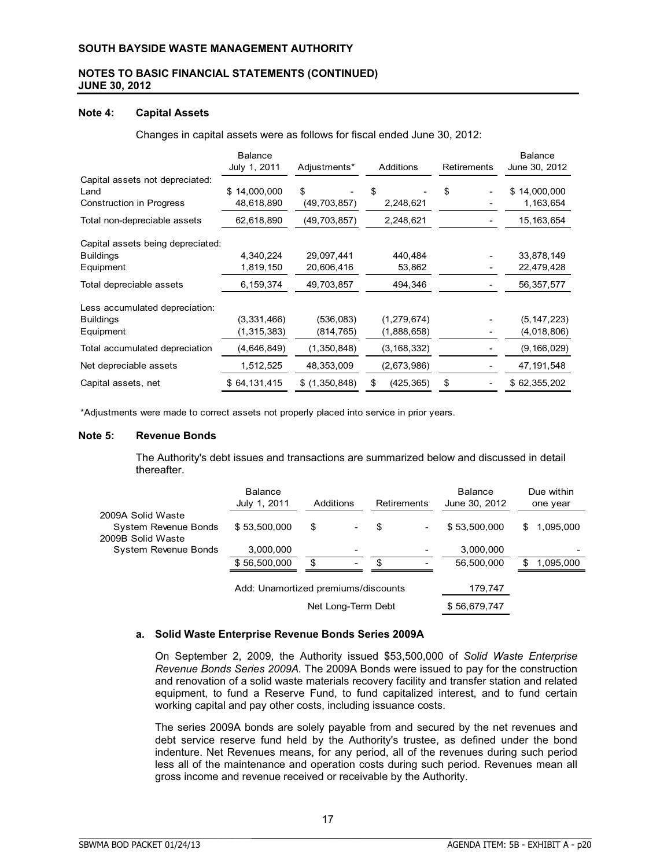### **Note 4: Capital Assets**

Changes in capital assets were as follows for fiscal ended June 30, 2012:

|                                   | <b>Balance</b><br>July 1, 2011 | Adjustments*   | <b>Additions</b> | <b>Retirements</b> | <b>Balance</b><br>June 30, 2012 |
|-----------------------------------|--------------------------------|----------------|------------------|--------------------|---------------------------------|
| Capital assets not depreciated:   |                                |                |                  |                    |                                 |
| Land                              | \$14,000,000                   | \$             | \$               | \$                 | \$14,000,000                    |
| <b>Construction in Progress</b>   | 48,618,890                     | (49,703,857)   | 2,248,621        |                    | 1,163,654                       |
| Total non-depreciable assets      | 62,618,890                     | (49, 703, 857) | 2,248,621        |                    | 15, 163, 654                    |
| Capital assets being depreciated: |                                |                |                  |                    |                                 |
| <b>Buildings</b>                  | 4,340,224                      | 29,097,441     | 440.484          |                    | 33,878,149                      |
| Equipment                         | 1,819,150                      | 20,606,416     | 53,862           |                    | 22,479,428                      |
| Total depreciable assets          | 6,159,374                      | 49,703,857     | 494,346          |                    | 56, 357, 577                    |
| Less accumulated depreciation:    |                                |                |                  |                    |                                 |
| <b>Buildings</b>                  | (3,331,466)                    | (536,083)      | (1, 279, 674)    |                    | (5, 147, 223)                   |
| Equipment                         | (1,315,383)                    | (814,765)      | (1,888,658)      |                    | (4,018,806)                     |
| Total accumulated depreciation    | (4,646,849)                    | (1,350,848)    | (3, 168, 332)    |                    | (9, 166, 029)                   |
| Net depreciable assets            | 1,512,525                      | 48,353,009     | (2,673,986)      |                    | 47,191,548                      |
| Capital assets, net               | \$64,131,415                   | \$(1,350,848)  | \$<br>(425, 365) | \$                 | \$62,355,202                    |

\*Adjustments were made to correct assets not properly placed into service in prior years.

#### **Note 5: Revenue Bonds**

The Authority's debt issues and transactions are summarized below and discussed in detail thereafter.

|                                                                       | <b>Balance</b><br>July 1, 2011      | Additions |                          |    | Retirements              | <b>Balance</b><br>June 30, 2012 | Due within<br>one year |
|-----------------------------------------------------------------------|-------------------------------------|-----------|--------------------------|----|--------------------------|---------------------------------|------------------------|
| 2009A Solid Waste<br><b>System Revenue Bonds</b><br>2009B Solid Waste | \$53,500,000                        | \$        |                          | \$ | $\overline{\phantom{a}}$ | \$53,500,000                    | 1,095,000<br>\$.       |
| System Revenue Bonds                                                  | 3,000,000                           |           |                          |    |                          | 3,000,000                       |                        |
|                                                                       | \$56,500,000                        | \$        | $\overline{\phantom{a}}$ | £. | -                        | 56,500,000                      | 1,095,000              |
|                                                                       | Add: Unamortized premiums/discounts |           |                          |    |                          | 179,747                         |                        |
|                                                                       |                                     |           | Net Long-Term Debt       |    |                          | \$56,679,747                    |                        |

#### **a. Solid Waste Enterprise Revenue Bonds Series 2009A**

BBBBBBBBBBBBBBBBBBBBBBBBBBBBBBBBBBBBBBBBBBBBBBBBBBBBBBBBBBBBBBBBBBBBBBBBBBBBBB

On September 2, 2009, the Authority issued \$53,500,000 of *Solid Waste Enterprise Revenue Bonds Series 2009A.* The 2009A Bonds were issued to pay for the construction and renovation of a solid waste materials recovery facility and transfer station and related equipment, to fund a Reserve Fund, to fund capitalized interest, and to fund certain working capital and pay other costs, including issuance costs.

The series 2009A bonds are solely payable from and secured by the net revenues and debt service reserve fund held by the Authority's trustee, as defined under the bond indenture. Net Revenues means, for any period, all of the revenues during such period less all of the maintenance and operation costs during such period. Revenues mean all gross income and revenue received or receivable by the Authority.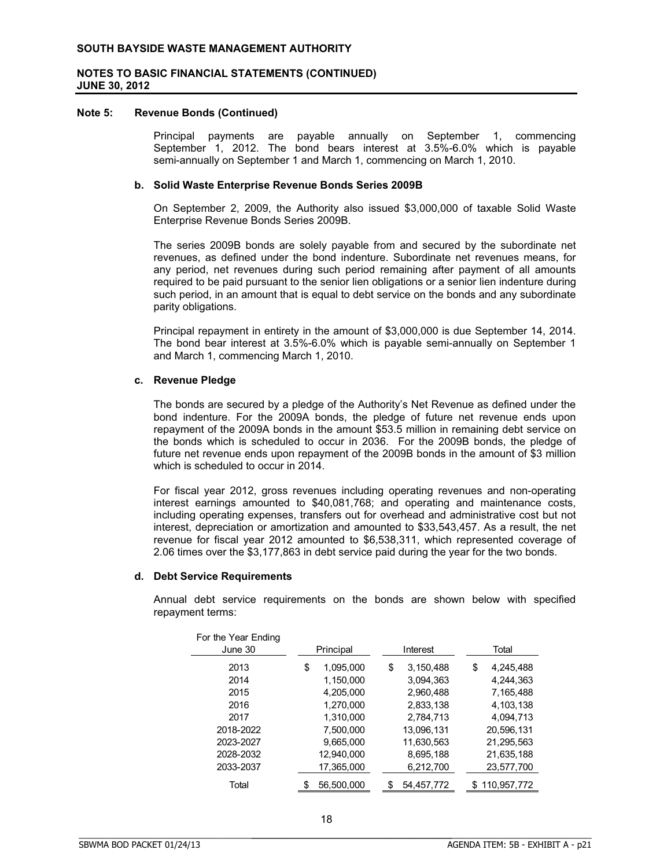#### **Note 5: Revenue Bonds (Continued)**

Principal payments are payable annually on September 1, commencing September 1, 2012. The bond bears interest at 3.5%-6.0% which is payable semi-annually on September 1 and March 1, commencing on March 1, 2010.

#### **b. Solid Waste Enterprise Revenue Bonds Series 2009B**

On September 2, 2009, the Authority also issued \$3,000,000 of taxable Solid Waste Enterprise Revenue Bonds Series 2009B.

The series 2009B bonds are solely payable from and secured by the subordinate net revenues, as defined under the bond indenture. Subordinate net revenues means, for any period, net revenues during such period remaining after payment of all amounts required to be paid pursuant to the senior lien obligations or a senior lien indenture during such period, in an amount that is equal to debt service on the bonds and any subordinate parity obligations.

Principal repayment in entirety in the amount of \$3,000,000 is due September 14, 2014. The bond bear interest at 3.5%-6.0% which is payable semi-annually on September 1 and March 1, commencing March 1, 2010.

#### **c. Revenue Pledge**

The bonds are secured by a pledge of the Authority's Net Revenue as defined under the bond indenture. For the 2009A bonds, the pledge of future net revenue ends upon repayment of the 2009A bonds in the amount \$53.5 million in remaining debt service on the bonds which is scheduled to occur in 2036. For the 2009B bonds, the pledge of future net revenue ends upon repayment of the 2009B bonds in the amount of \$3 million which is scheduled to occur in 2014.

For fiscal year 2012, gross revenues including operating revenues and non-operating interest earnings amounted to \$40,081,768; and operating and maintenance costs, including operating expenses, transfers out for overhead and administrative cost but not interest, depreciation or amortization and amounted to \$33,543,457. As a result, the net revenue for fiscal year 2012 amounted to \$6,538,311, which represented coverage of 2.06 times over the \$3,177,863 in debt service paid during the year for the two bonds.

#### **d. Debt Service Requirements**

Annual debt service requirements on the bonds are shown below with specified repayment terms:

| For the Year Ending<br>June 30 | Principal |            | Interest |            | Total |             |
|--------------------------------|-----------|------------|----------|------------|-------|-------------|
| 2013                           | \$        | 1,095,000  | \$       | 3,150,488  | \$    | 4,245,488   |
| 2014                           |           | 1,150,000  |          | 3,094,363  |       | 4,244,363   |
| 2015                           |           | 4,205,000  |          | 2,960,488  |       | 7,165,488   |
| 2016                           |           | 1,270,000  |          | 2,833,138  |       | 4,103,138   |
| 2017                           |           | 1,310,000  |          | 2,784,713  |       | 4,094,713   |
| 2018-2022                      |           | 7,500,000  |          | 13,096,131 |       | 20,596,131  |
| 2023-2027                      |           | 9,665,000  |          | 11,630,563 |       | 21,295,563  |
| 2028-2032                      |           | 12,940,000 |          | 8,695,188  |       | 21,635,188  |
| 2033-2037                      |           | 17,365,000 |          | 6,212,700  |       | 23,577,700  |
| Total                          | \$        | 56.500.000 | \$       | 54.457.772 | \$.   | 110.957.772 |

BBBBBBBBBBBBBBBBBBBBBBBBBBBBBBBBBBBBBBBBBBBBBBBBBBBBBBBBBBBBBBBBBBBBBBB

 $F = \frac{1}{2}$  the Year Endington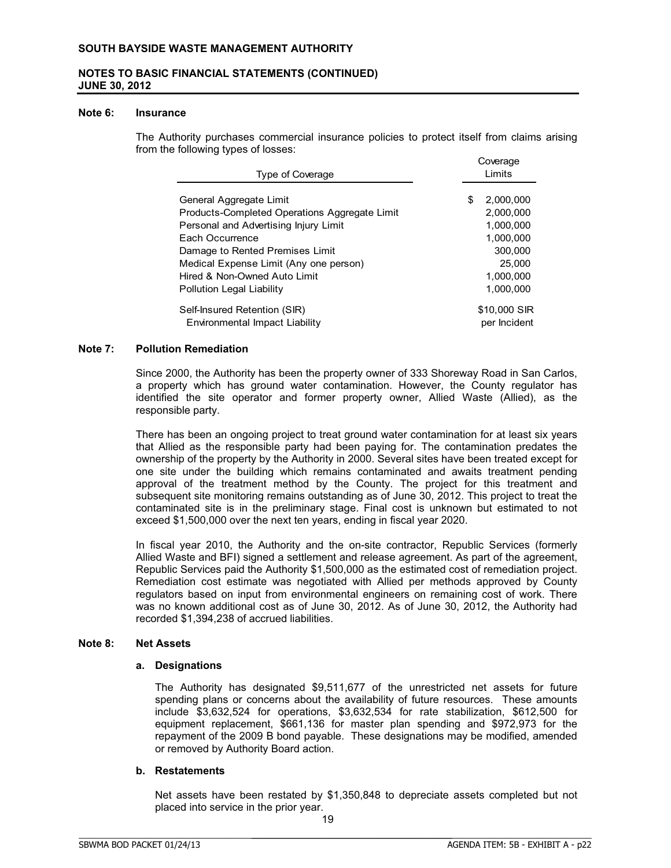## **NOTES TO BASIC FINANCIAL STATEMENTS (CONTINUED) JUNE 30, 2012**

#### **Note 6: Insurance**

The Authority purchases commercial insurance policies to protect itself from claims arising from the following types of losses: Coverage

| <b>Type of Coverage</b>                                                  | -------<br>Limits           |  |  |
|--------------------------------------------------------------------------|-----------------------------|--|--|
| General Aggregate Limit<br>Products-Completed Operations Aggregate Limit | 2,000,000<br>S<br>2.000.000 |  |  |
| Personal and Advertising Injury Limit                                    | 1.000.000                   |  |  |
| Each Occurrence                                                          | 1.000.000                   |  |  |
| Damage to Rented Premises Limit                                          | 300,000                     |  |  |
| Medical Expense Limit (Any one person)                                   | 25.000                      |  |  |
| Hired & Non-Owned Auto Limit                                             | 1.000.000                   |  |  |
| <b>Pollution Legal Liability</b>                                         | 1.000.000                   |  |  |
| Self-Insured Retention (SIR)                                             | \$10,000 SIR                |  |  |
| Environmental Impact Liability                                           | per Incident                |  |  |

#### **Note 7: Pollution Remediation**

Since 2000, the Authority has been the property owner of 333 Shoreway Road in San Carlos, a property which has ground water contamination. However, the County regulator has identified the site operator and former property owner, Allied Waste (Allied), as the responsible party.

There has been an ongoing project to treat ground water contamination for at least six years that Allied as the responsible party had been paying for. The contamination predates the ownership of the property by the Authority in 2000. Several sites have been treated except for one site under the building which remains contaminated and awaits treatment pending approval of the treatment method by the County. The project for this treatment and subsequent site monitoring remains outstanding as of June 30, 2012. This project to treat the contaminated site is in the preliminary stage. Final cost is unknown but estimated to not exceed \$1,500,000 over the next ten years, ending in fiscal year 2020.

In fiscal year 2010, the Authority and the on-site contractor, Republic Services (formerly Allied Waste and BFI) signed a settlement and release agreement. As part of the agreement, Republic Services paid the Authority \$1,500,000 as the estimated cost of remediation project. Remediation cost estimate was negotiated with Allied per methods approved by County regulators based on input from environmental engineers on remaining cost of work. There was no known additional cost as of June 30, 2012. As of June 30, 2012, the Authority had recorded \$1,394,238 of accrued liabilities.

#### **Note 8: Net Assets**

#### **a. Designations**

The Authority has designated \$9,511,677 of the unrestricted net assets for future spending plans or concerns about the availability of future resources. These amounts include \$3,632,524 for operations, \$3,632,534 for rate stabilization, \$612,500 for equipment replacement, \$661,136 for master plan spending and \$972,973 for the repayment of the 2009 B bond payable. These designations may be modified, amended or removed by Authority Board action.

### **b. Restatements**

Net assets have been restated by \$1,350,848 to depreciate assets completed but not placed into service in the prior year.